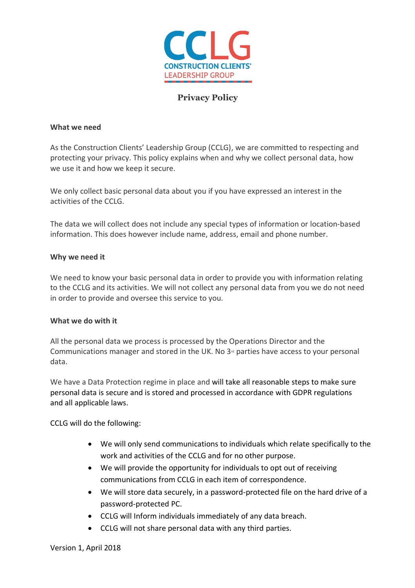

# **Privacy Policy**

#### **What we need**

As the Construction Clients' Leadership Group (CCLG), we are committed to respecting and protecting your privacy. This policy explains when and why we collect personal data, how we use it and how we keep it secure.

We only collect basic personal data about you if you have expressed an interest in the activities of the CCLG.

The data we will collect does not include any special types of information or location-based information. This does however include name, address, email and phone number.

### **Why we need it**

We need to know your basic personal data in order to provide you with information relating to the CCLG and its activities. We will not collect any personal data from you we do not need in order to provide and oversee this service to you.

### **What we do with it**

All the personal data we process is processed by the Operations Director and the Communications manager and stored in the UK. No  $3<sup>d</sup>$  parties have access to your personal data.

We have a Data Protection regime in place and will take all reasonable steps to make sure personal data is secure and is stored and processed in accordance with GDPR regulations and all applicable laws.

CCLG will do the following:

- We will only send communications to individuals which relate specifically to the work and activities of the CCLG and for no other purpose.
- We will provide the opportunity for individuals to opt out of receiving communications from CCLG in each item of correspondence.
- We will store data securely, in a password-protected file on the hard drive of a password-protected PC.
- CCLG will Inform individuals immediately of any data breach.
- CCLG will not share personal data with any third parties.